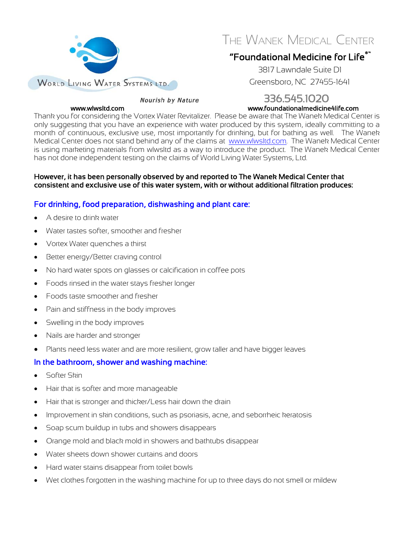

THE WANEK MEDICAL CENTER

## "Foundational Medicine for Life®"

3817 Lawndale Suite D1 Greensboro, NC 27455-1641

# Nourish by Nature 336.545.1020<br>www.foundationalmedicine4life.com www.foundationalmedicine4life.com

Thank you for considering the Vortex Water Revitalizer. Please be aware that The Wanek Medical Center is only suggesting that you have an experience with water produced by this system, ideally committing to a month of continuous, exclusive use, most importantly for drinking, but for bathing as well. The Wanek Medical Center does not stand behind any of the claims at www.wlwsltd.com. The Wanek Medical Center is using marketing materials from wlwsltd as a way to introduce the product. The Wanek Medical Center has not done independent testing on the claims of World Living Water Systems, Ltd.

#### However, it has been personally observed by and reported to The Wanek Medical Center that consistent and exclusive use of this water system, with or without additional filtration produces:

### For drinking, food preparation, dishwashing and plant care:

- A desire to drink water
- Water tastes softer, smoother and fresher
- Vortex Water quenches a thirst
- Better energy/Better craving control
- No hard water spots on glasses or calcification in coffee pots
- Foods rinsed in the water stays fresher longer
- Foods taste smoother and fresher
- Pain and stiffness in the body improves
- Swelling in the body improves
- Nails are harder and stronger
- Plants need less water and are more resilient, grow taller and have bigger leaves

### In the bathroom, shower and washing machine:

- Softer Skin
- Hair that is softer and more manageable
- Hair that is stronger and thicker/Less hair down the drain
- Improvement in skin conditions, such as psoriasis, acne, and seborrheic keratosis
- Soap scum buildup in tubs and showers disappears
- Orange mold and black mold in showers and bathtubs disappear
- Water sheets down shower curtains and doors
- Hard water stains disappear from toilet bowls
- Wet clothes forgotten in the washing machine for up to three days do not smell or mildew